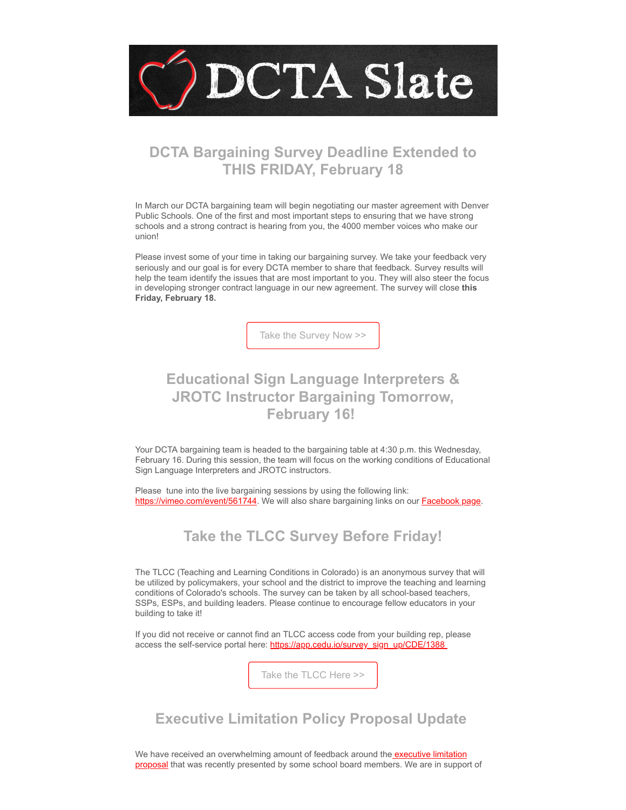

# **DCTA Bargaining Survey Deadline Extended to THIS FRIDAY, February 18**

In March our DCTA bargaining team will begin negotiating our master agreement with Denver Public Schools. One of the first and most important steps to ensuring that we have strong schools and a strong contract is hearing from you, the 4000 member voices who make our union!

Please invest some of your time in taking our bargaining survey. We take your feedback very seriously and our goal is for every DCTA member to share that feedback. Survey results will help the team identify the issues that are most important to you. They will also steer the focus in developing stronger contract language in our new agreement. The survey will close **this Friday, February 18.**

[Take the Survey Now >>](https://nea.co1.qualtrics.com/jfe/form/SV_bdt4W4eqlNPNQTI?emci=bed7a40e-a38e-ec11-a507-281878b83d8a&emdi=ea000000-0000-0000-0000-000000000001&ceid={{ContactsEmailID}})

# **Educational Sign Language Interpreters & JROTC Instructor Bargaining Tomorrow, February 16!**

Your DCTA bargaining team is headed to the bargaining table at 4:30 p.m. this Wednesday, February 16. During this session, the team will focus on the working conditions of Educational Sign Language Interpreters and JROTC instructors.

Please tune into the live bargaining sessions by using the following link: [https://vimeo.com/event/561744.](https://vimeo.com/event/561744?emci=bed7a40e-a38e-ec11-a507-281878b83d8a&emdi=ea000000-0000-0000-0000-000000000001&ceid={{ContactsEmailID}}) We will also share bargaining links on our **Facebook page**.

#### **Take the TLCC Survey Before Friday!**

The TLCC (Teaching and Learning Conditions in Colorado) is an anonymous survey that will be utilized by policymakers, your school and the district to improve the teaching and learning conditions of Colorado's schools. The survey can be taken by all school-based teachers, SSPs, ESPs, and building leaders. Please continue to encourage fellow educators in your building to take it!

If you did not receive or cannot find an TLCC access code from your building rep, please access the self-service portal here: [https://app.cedu.io/survey\\_sign\\_up/CDE/1388](https://app.cedu.io/survey_sign_up/CDE/1388?emci=bed7a40e-a38e-ec11-a507-281878b83d8a&emdi=ea000000-0000-0000-0000-000000000001&ceid={{ContactsEmailID}})

[Take the TLCC Here >>](https://www.coloradoea.org/teaching-and-learning/tlcc/?emci=bed7a40e-a38e-ec11-a507-281878b83d8a&emdi=ea000000-0000-0000-0000-000000000001&ceid={{ContactsEmailID}})

# **Executive Limitation Policy Proposal Update**

We have received an overwhelming amount of feedback around the executive limitation [proposal that was recently presented by some school board members. We are in suppor](https://drive.google.com/file/d/1XeYraLe8XJjZRAwKWzPJ8bOCY5_Ae4bf/view?usp=sharing&emci=2eb39a71-5488-ec11-94f6-281878b85110&emdi=ea000000-0000-0000-0000-000000000001&ceid=)t of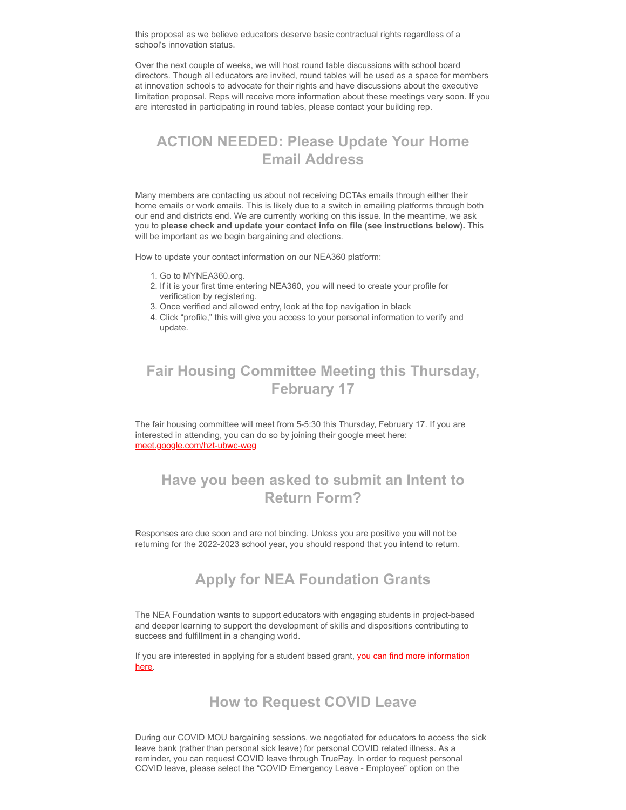this proposal as we believe educators deserve basic contractual rights regardless of a school's innovation status.

Over the next couple of weeks, we will host round table discussions with school board directors. Though all educators are invited, round tables will be used as a space for members at innovation schools to advocate for their rights and have discussions about the executive limitation proposal. Reps will receive more information about these meetings very soon. If you are interested in participating in round tables, please contact your building rep.

# **ACTION NEEDED: Please Update Your Home Email Address**

Many members are contacting us about not receiving DCTAs emails through either their home emails or work emails. This is likely due to a switch in emailing platforms through both our end and districts end. We are currently working on this issue. In the meantime, we ask you to **please check and update your contact info on file (see instructions below).** This will be important as we begin bargaining and elections.

How to update your contact information on our NEA360 platform:

- 1. Go to MYNEA360.org.
- 2. If it is your first time entering NEA360, you will need to create your profile for verification by registering.
- 3. Once verified and allowed entry, look at the top navigation in black
- 4. Click "profile," this will give you access to your personal information to verify and update.

## **Fair Housing Committee Meeting this Thursday, February 17**

The fair housing committee will meet from 5-5:30 this Thursday, February 17. If you are interested in attending, you can do so by joining their google meet here: [meet.google.com/hzt-ubwc-weg](http://meet.google.com/hzt-ubwc-weg?emci=bed7a40e-a38e-ec11-a507-281878b83d8a&emdi=ea000000-0000-0000-0000-000000000001&ceid={{ContactsEmailID}})

# **Have you been asked to submit an Intent to Return Form?**

Responses are due soon and are not binding. Unless you are positive you will not be returning for the 2022-2023 school year, you should respond that you intend to return.

#### **Apply for NEA Foundation Grants**

The NEA Foundation wants to support educators with engaging students in project-based and deeper learning to support the development of skills and dispositions contributing to success and fulfillment in a changing world.

[If you are interested in applying for a student based grant, you can find more information](https://www.neafoundation.org/for-educators/student-success-grants/?emci=bed7a40e-a38e-ec11-a507-281878b83d8a&emdi=ea000000-0000-0000-0000-000000000001&ceid={{ContactsEmailID}}) here.

#### **How to Request COVID Leave**

During our COVID MOU bargaining sessions, we negotiated for educators to access the sick leave bank (rather than personal sick leave) for personal COVID related illness. As a reminder, you can request COVID leave through TruePay. In order to request personal COVID leave, please select the "COVID Emergency Leave - Employee" option on the